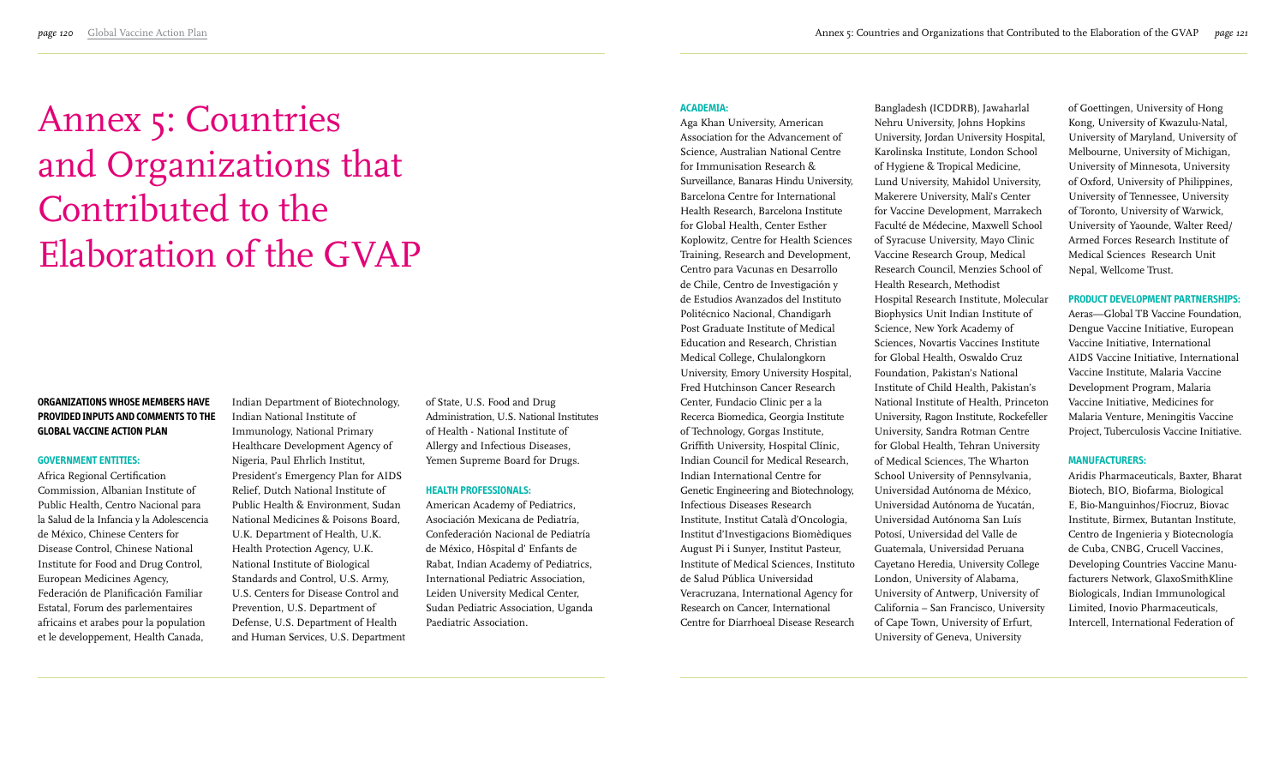# **Organizations whose members have provided inputs and comments to the Global Vaccine Action Plan**

#### **Government entities:**

Africa Regional Certification Commission, Albanian Institute of Public Health, Centro Nacional para la Salud de la Infancia y la Adolescencia de México, Chinese Centers for Disease Control, Chinese National Institute for Food and Drug Control, European Medicines Agency, Federación de Planificación Familiar Estatal, Forum des parlementaires africains et arabes pour la population et le developpement, Health Canada,

Indian Department of Biotechnology, Indian National Institute of Immunology, National Primary Healthcare Development Agency of Nigeria, Paul Ehrlich Institut, President's Emergency Plan for AIDS Relief, Dutch National Institute of Public Health & Environment, Sudan National Medicines & Poisons Board, U.K. Department of Health, U.K. Health Protection Agency, U.K. National Institute of Biological Standards and Control, U.S. Army, U.S. Centers for Disease Control and Prevention, U.S. Department of Defense, U.S. Department of Health and Human Services, U.S. Department of State, U.S. Food and Drug Administration, U.S. National Institutes of Health - National Institute of Allergy and Infectious Diseases, Yemen Supreme Board for Drugs.

## **Health professionals:**

American Academy of Pediatrics, Asociación Mexicana de Pediatría, Confederación Nacional de Pediatría de México, Hôspital d' Enfants de Rabat, Indian Academy of Pediatrics, International Pediatric Association, Leiden University Medical Center, Sudan Pediatric Association, Uganda Paediatric Association.

#### **Academia:**

Aga Khan University, American Association for the Advancement of Science, Australian National Centre for Immunisation Research & Surveillance, Banaras Hindu University, Barcelona Centre for International Health Research, Barcelona Institute for Global Health, Center Esther Koplowitz, Centre for Health Sciences Training, Research and Development, Centro para Vacunas en Desarrollo de Chile, Centro de Investigación y de Estudios Avanzados del Instituto Politécnico Nacional, Chandigarh Post Graduate Institute of Medical Education and Research, Christian Medical College, Chulalongkorn University, Emory University Hospital, Fred Hutchinson Cancer Research Center, Fundacio Clinic per a la Recerca Biomedica, Georgia Institute of Technology, Gorgas Institute, Griffith University, Hospital Clínic, Indian Council for Medical Research, Indian International Centre for Genetic Engineering and Biotechnology, Infectious Diseases Research Institute, Institut Català d'Oncologia, Institut d'Investigacions Biomèdiques August Pi i Sunyer, Institut Pasteur, Institute of Medical Sciences, Instituto de Salud Pública Universidad Veracruzana, International Agency for Research on Cancer, International Centre for Diarrhoeal Disease Research Bangladesh (ICDDRB), Jawaharlal Nehru University, Johns Hopkins University, Jordan University Hospital, Karolinska Institute, London School of Hygiene & Tropical Medicine, Lund University, Mahidol University, Makerere University, Mali's Center for Vaccine Development, Marrakech Faculté de Médecine, Maxwell School of Syracuse University, Mayo Clinic Vaccine Research Group, Medical Research Council, Menzies School of Hospital Research Institute, Molecular Biophysics Unit Indian Institute of Science, New York Academy of Sciences, Novartis Vaccines Institute for Global Health, Oswaldo Cruz Foundation, Pakistan's National Institute of Child Health, Pakistan's National Institute of Health, Princeton University, Ragon Institute, Rockefeller University, Sandra Rotman Centre for Global Health, Tehran University of Medical Sciences, The Wharton School University of Pennsylvania, Universidad Autónoma de México, Universidad Autónoma de Yucatán, Universidad Autónoma San Luís Potosí, Universidad del Valle de Guatemala, Universidad Peruana Cayetano Heredia, University College London, University of Alabama, University of Antwerp, University of California – San Francisco, University of Cape Town, University of Erfurt,

Health Research, Methodist University of Geneva, University

of Goettingen, University of Hong Kong, University of Kwazulu-Natal, University of Maryland, University of Melbourne, University of Michigan, University of Minnesota, University of Oxford, University of Philippines, University of Tennessee, University of Toronto, University of Warwick, University of Yaounde, Walter Reed/ Armed Forces Research Institute of Medical Sciences Research Unit Nepal, Wellcome Trust.

#### **Product Development Partnerships:**

Aeras—Global TB Vaccine Foundation, Dengue Vaccine Initiative, European Vaccine Initiative, International AIDS Vaccine Initiative, International Vaccine Institute, Malaria Vaccine Development Program, Malaria Vaccine Initiative, Medicines for Malaria Venture, Meningitis Vaccine Project, Tuberculosis Vaccine Initiative.

#### **Manufacturers:**

Aridis Pharmaceuticals, Baxter, Bharat Biotech, BIO, Biofarma, Biological E, Bio-Manguinhos/Fiocruz, Biovac Institute, Birmex, Butantan Institute, Centro de Ingenieria y Biotecnología de Cuba, CNBG, Crucell Vaccines, Developing Countries Vaccine Manufacturers Network, GlaxoSmithKline Biologicals, Indian Immunological Limited, Inovio Pharmaceuticals, Intercell, International Federation of

# Annex 5: Countries and Organizations that Contributed to the Elaboration of the GVAP